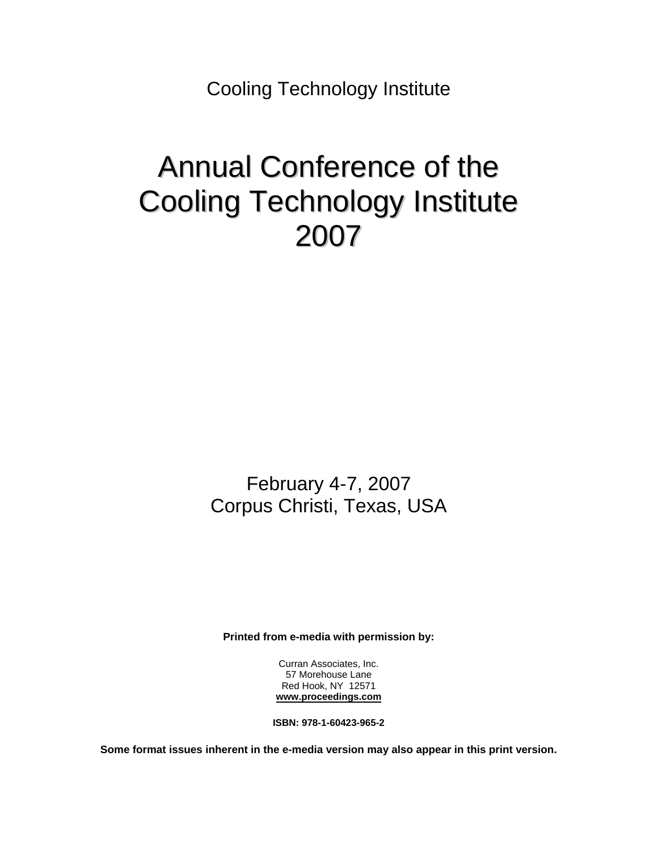Cooling Technology Institute

## Annual Conference of the Cooling Technology Institute 2007

February 4-7, 2007 Corpus Christi, Texas, USA

**Printed from e-media with permission by:** 

Curran Associates, Inc. 57 Morehouse Lane Red Hook, NY 12571 **www.proceedings.com**

**ISBN: 978-1-60423-965-2** 

**Some format issues inherent in the e-media version may also appear in this print version.**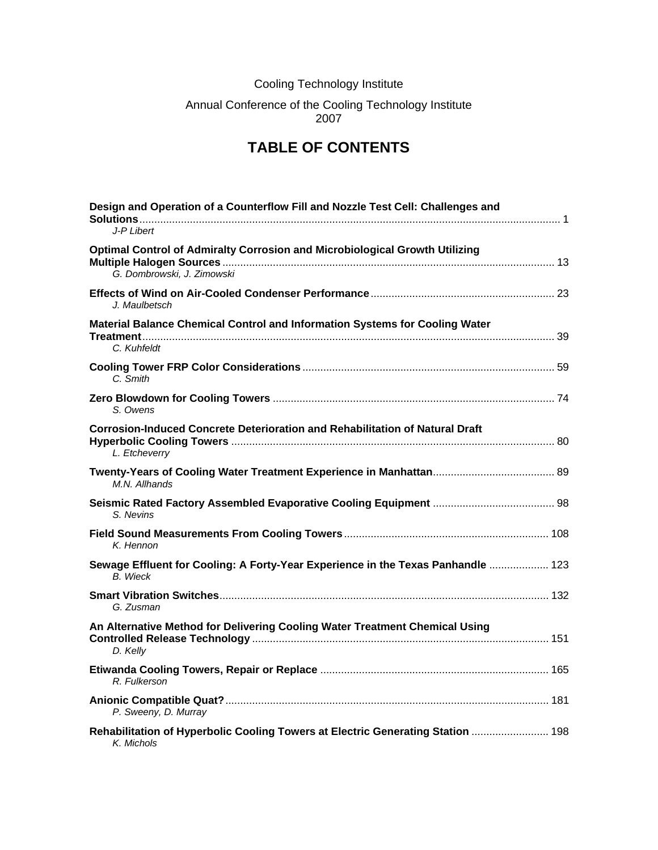## Cooling Technology Institute

## Annual Conference of the Cooling Technology Institute 2007

## **TABLE OF CONTENTS**

| Design and Operation of a Counterflow Fill and Nozzle Test Cell: Challenges and<br>$J-PI$ ibert           |
|-----------------------------------------------------------------------------------------------------------|
| Optimal Control of Admiralty Corrosion and Microbiological Growth Utilizing<br>G. Dombrowski, J. Zimowski |
| J. Maulbetsch                                                                                             |
| Material Balance Chemical Control and Information Systems for Cooling Water                               |
| C. Kuhfeldt                                                                                               |
| C. Smith                                                                                                  |
| S. Owens                                                                                                  |
| <b>Corrosion-Induced Concrete Deterioration and Rehabilitation of Natural Draft</b><br>L. Etcheverry      |
| M.N. Allhands                                                                                             |
| S. Nevins                                                                                                 |
| K. Hennon                                                                                                 |
| Sewage Effluent for Cooling: A Forty-Year Experience in the Texas Panhandle  123<br><b>B.</b> Wieck       |
| G. Zusman                                                                                                 |
| An Alternative Method for Delivering Cooling Water Treatment Chemical Using<br>D. Kelly                   |
| R. Fulkerson                                                                                              |
| P. Sweeny, D. Murray                                                                                      |
| Rehabilitation of Hyperbolic Cooling Towers at Electric Generating Station  198<br>K. Michols             |